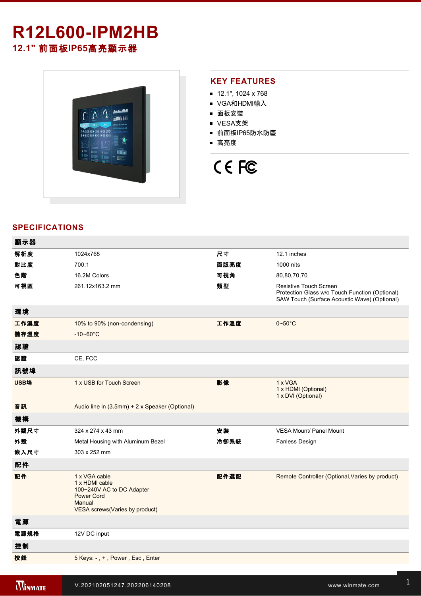# **R12L600-IPM2HB**

**12.1"** 前面板**IP65**高亮顯示器



#### **KEY FEATURES**

- 12.1", 1024 x 768
- VGA和HDMI輸入
- 面板安裝
- VESA支架
- 前面板IP65防水防塵
- 高亮度



## **SPECIFICATIONS**

| 顯示器  |                                                                                                                               |      |                                                                                                                                 |
|------|-------------------------------------------------------------------------------------------------------------------------------|------|---------------------------------------------------------------------------------------------------------------------------------|
| 解析度  | 1024x768                                                                                                                      | 尺寸   | 12.1 inches                                                                                                                     |
| 對比度  | 700:1                                                                                                                         | 面版亮度 | 1000 nits                                                                                                                       |
| 色階   | 16.2M Colors                                                                                                                  | 可視角  | 80,80,70,70                                                                                                                     |
| 可視區  | 261.12x163.2 mm                                                                                                               | 類型   | <b>Resistive Touch Screen</b><br>Protection Glass w/o Touch Function (Optional)<br>SAW Touch (Surface Acoustic Wave) (Optional) |
| 環境   |                                                                                                                               |      |                                                                                                                                 |
| 工作濕度 | 10% to 90% (non-condensing)                                                                                                   | 工作溫度 | $0 \sim 50^{\circ}$ C                                                                                                           |
| 儲存溫度 | $-10 - 60^{\circ}C$                                                                                                           |      |                                                                                                                                 |
| 認證   |                                                                                                                               |      |                                                                                                                                 |
| 認證   | CE, FCC                                                                                                                       |      |                                                                                                                                 |
| 訊號埠  |                                                                                                                               |      |                                                                                                                                 |
| USB埠 | 1 x USB for Touch Screen                                                                                                      | 影像   | 1 x VGA<br>1 x HDMI (Optional)<br>1 x DVI (Optional)                                                                            |
| 音訊   | Audio line in (3.5mm) + 2 x Speaker (Optional)                                                                                |      |                                                                                                                                 |
| 機構   |                                                                                                                               |      |                                                                                                                                 |
| 外觀尺寸 | 324 x 274 x 43 mm                                                                                                             | 安装   | <b>VESA Mount/ Panel Mount</b>                                                                                                  |
| 外殼   | Metal Housing with Aluminum Bezel                                                                                             | 冷卻系統 | <b>Fanless Design</b>                                                                                                           |
| 嵌入尺寸 | 303 x 252 mm                                                                                                                  |      |                                                                                                                                 |
| 配件   |                                                                                                                               |      |                                                                                                                                 |
| 配件   | 1 x VGA cable<br>1 x HDMI cable<br>100~240V AC to DC Adapter<br><b>Power Cord</b><br>Manual<br>VESA screws(Varies by product) | 配件選配 | Remote Controller (Optional, Varies by product)                                                                                 |
| 電源   |                                                                                                                               |      |                                                                                                                                 |
| 電源規格 | 12V DC input                                                                                                                  |      |                                                                                                                                 |
| 控制   |                                                                                                                               |      |                                                                                                                                 |
| 按鈕   | 5 Keys: -, +, Power, Esc, Enter                                                                                               |      |                                                                                                                                 |
|      |                                                                                                                               |      |                                                                                                                                 |

**Windows 2002 Research R12L600**